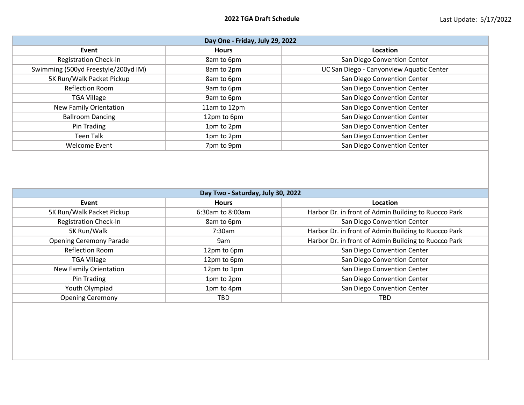| Day One - Friday, July 29, 2022     |              |                                          |  |  |
|-------------------------------------|--------------|------------------------------------------|--|--|
| Event                               | <b>Hours</b> | Location                                 |  |  |
| <b>Registration Check-In</b>        | 8am to 6pm   | San Diego Convention Center              |  |  |
| Swimming (500yd Freestyle/200yd IM) | 8am to 2pm   | UC San Diego - Canyonview Aquatic Center |  |  |
| 5K Run/Walk Packet Pickup           | 8am to 6pm   | San Diego Convention Center              |  |  |
| <b>Reflection Room</b>              | 9am to 6pm   | San Diego Convention Center              |  |  |
| <b>TGA Village</b>                  | 9am to 6pm   | San Diego Convention Center              |  |  |
| New Family Orientation              | 11am to 12pm | San Diego Convention Center              |  |  |
| <b>Ballroom Dancing</b>             | 12pm to 6pm  | San Diego Convention Center              |  |  |
| Pin Trading                         | 1pm to 2pm   | San Diego Convention Center              |  |  |
| <b>Teen Talk</b>                    | 1pm to 2pm   | San Diego Convention Center              |  |  |
| <b>Welcome Event</b>                | 7pm to 9pm   | San Diego Convention Center              |  |  |

| Day Two - Saturday, July 30, 2022 |                  |                                                      |  |  |
|-----------------------------------|------------------|------------------------------------------------------|--|--|
| Event                             | <b>Hours</b>     | Location                                             |  |  |
| 5K Run/Walk Packet Pickup         | 6:30am to 8:00am | Harbor Dr. in front of Admin Building to Ruocco Park |  |  |
| <b>Registration Check-In</b>      | 8am to 6pm       | San Diego Convention Center                          |  |  |
| 5K Run/Walk                       | 7:30am           | Harbor Dr. in front of Admin Building to Ruocco Park |  |  |
| <b>Opening Ceremony Parade</b>    | 9am              | Harbor Dr. in front of Admin Building to Ruocco Park |  |  |
| <b>Reflection Room</b>            | 12pm to 6pm      | San Diego Convention Center                          |  |  |
| <b>TGA Village</b>                | 12pm to 6pm      | San Diego Convention Center                          |  |  |
| New Family Orientation            | 12pm to 1pm      | San Diego Convention Center                          |  |  |
| Pin Trading                       | 1pm to 2pm       | San Diego Convention Center                          |  |  |
| Youth Olympiad                    | 1pm to 4pm       | San Diego Convention Center                          |  |  |
| <b>Opening Ceremony</b>           | TBD              | <b>TBD</b>                                           |  |  |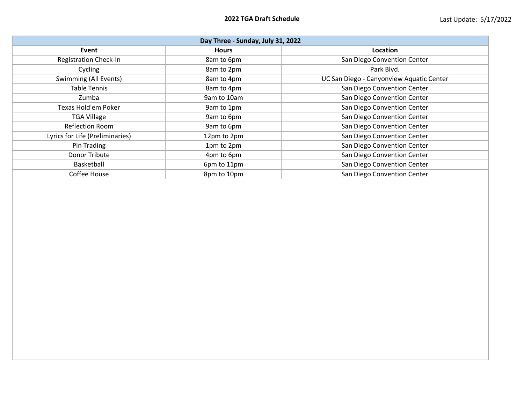| Day Three - Sunday, July 31, 2022 |              |                                          |  |  |
|-----------------------------------|--------------|------------------------------------------|--|--|
| Event                             | <b>Hours</b> | <b>Location</b>                          |  |  |
| <b>Registration Check-In</b>      | 8am to 6pm   | San Diego Convention Center              |  |  |
| Cycling                           | 8am to 2pm   | Park Blvd.                               |  |  |
| Swimming (All Events)             | 8am to 4pm   | UC San Diego - Canyonview Aquatic Center |  |  |
| <b>Table Tennis</b>               | 8am to 4pm   | San Diego Convention Center              |  |  |
| Zumba                             | 9am to 10am  | San Diego Convention Center              |  |  |
| <b>Texas Hold'em Poker</b>        | 9am to 1pm   | San Diego Convention Center              |  |  |
| <b>TGA Village</b>                | 9am to 6pm   | San Diego Convention Center              |  |  |
| <b>Reflection Room</b>            | 9am to 6pm   | San Diego Convention Center              |  |  |
| Lyrics for Life (Preliminaries)   | 12pm to 2pm  | San Diego Convention Center              |  |  |
| Pin Trading                       | 1pm to 2pm   | San Diego Convention Center              |  |  |
| Donor Tribute                     | 4pm to 6pm   | San Diego Convention Center              |  |  |
| Basketball                        | 6pm to 11pm  | San Diego Convention Center              |  |  |
| Coffee House                      | 8pm to 10pm  | San Diego Convention Center              |  |  |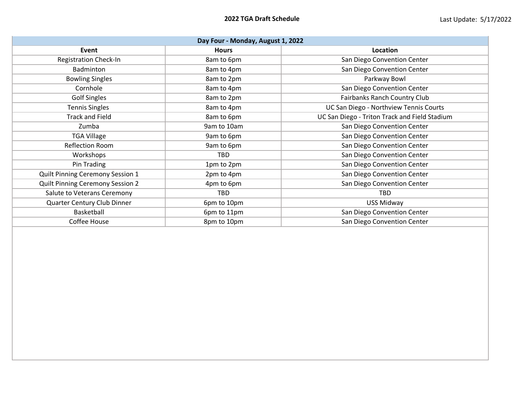| Day Four - Monday, August 1, 2022       |              |                                               |  |  |
|-----------------------------------------|--------------|-----------------------------------------------|--|--|
| Event                                   | <b>Hours</b> | Location                                      |  |  |
| <b>Registration Check-In</b>            | 8am to 6pm   | San Diego Convention Center                   |  |  |
| Badminton                               | 8am to 4pm   | San Diego Convention Center                   |  |  |
| <b>Bowling Singles</b>                  | 8am to 2pm   | Parkway Bowl                                  |  |  |
| Cornhole                                | 8am to 4pm   | San Diego Convention Center                   |  |  |
| <b>Golf Singles</b>                     | 8am to 2pm   | Fairbanks Ranch Country Club                  |  |  |
| <b>Tennis Singles</b>                   | 8am to 4pm   | UC San Diego - Northview Tennis Courts        |  |  |
| <b>Track and Field</b>                  | 8am to 6pm   | UC San Diego - Triton Track and Field Stadium |  |  |
| Zumba                                   | 9am to 10am  | San Diego Convention Center                   |  |  |
| <b>TGA Village</b>                      | 9am to 6pm   | San Diego Convention Center                   |  |  |
| <b>Reflection Room</b>                  | 9am to 6pm   | San Diego Convention Center                   |  |  |
| Workshops                               | TBD          | San Diego Convention Center                   |  |  |
| Pin Trading                             | 1pm to 2pm   | San Diego Convention Center                   |  |  |
| Quilt Pinning Ceremony Session 1        | 2pm to 4pm   | San Diego Convention Center                   |  |  |
| <b>Quilt Pinning Ceremony Session 2</b> | 4pm to 6pm   | San Diego Convention Center                   |  |  |
| Salute to Veterans Ceremony             | TBD          | <b>TBD</b>                                    |  |  |
| Quarter Century Club Dinner             | 6pm to 10pm  | <b>USS Midway</b>                             |  |  |
| Basketball                              | 6pm to 11pm  | San Diego Convention Center                   |  |  |
| Coffee House                            | 8pm to 10pm  | San Diego Convention Center                   |  |  |